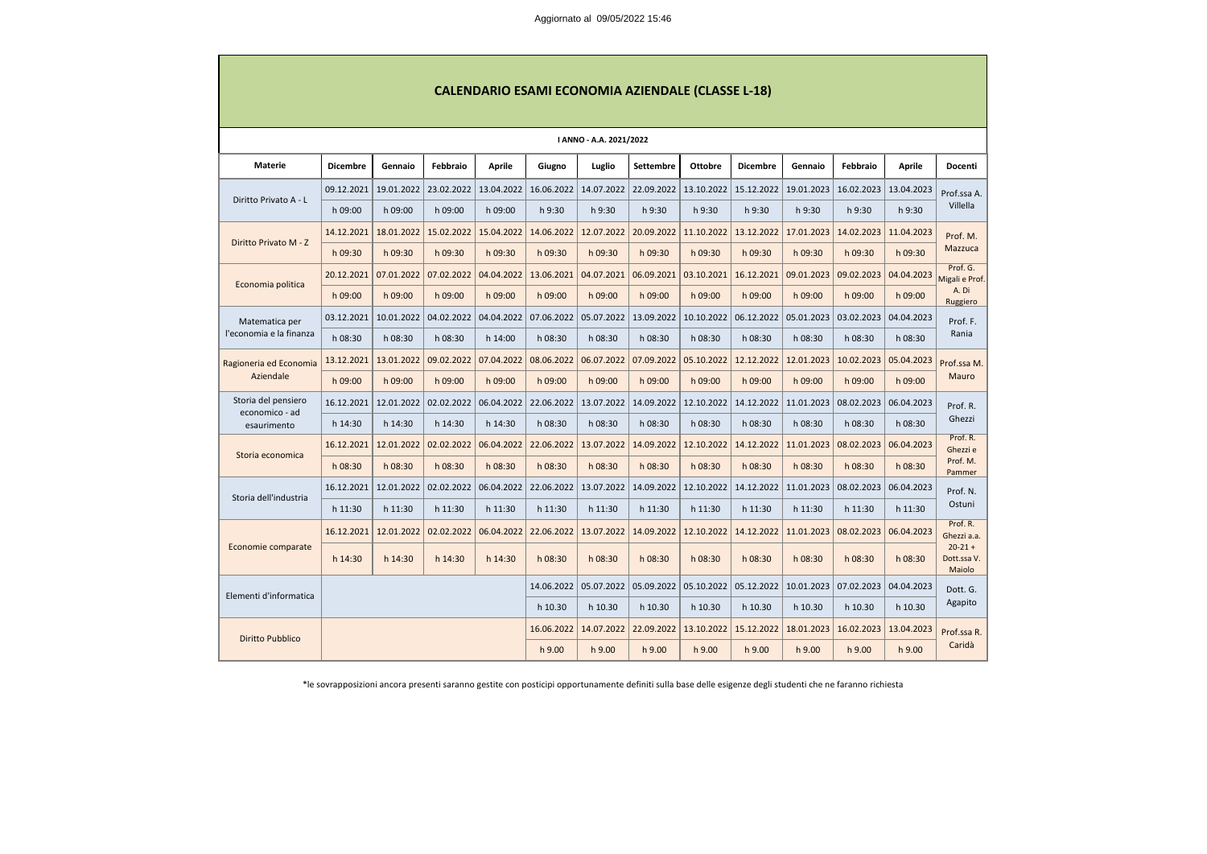| <b>CALENDARIO ESAMI ECONOMIA AZIENDALE (CLASSE L-18)</b> |                 |                                                                                                                                     |            |               |            |               |                  |                |                 |            |            |               |                                            |  |
|----------------------------------------------------------|-----------------|-------------------------------------------------------------------------------------------------------------------------------------|------------|---------------|------------|---------------|------------------|----------------|-----------------|------------|------------|---------------|--------------------------------------------|--|
| <b>I ANNO - A.A. 2021/2022</b>                           |                 |                                                                                                                                     |            |               |            |               |                  |                |                 |            |            |               |                                            |  |
| Materie                                                  | <b>Dicembre</b> | Gennaio                                                                                                                             | Febbraio   | <b>Aprile</b> | Giugno     | <b>Luglio</b> | <b>Settembre</b> | <b>Ottobre</b> | <b>Dicembre</b> | Gennaio    | Febbraio   | <b>Aprile</b> | Docenti                                    |  |
| Diritto Privato A - L                                    | 09.12.2021      | 19.01.2022                                                                                                                          | 23.02.2022 | 13.04.2022    | 16.06.2022 | 14.07.2022    | 22.09.2022       | 13.10.2022     | 15.12.2022      | 19.01.2023 | 16.02.2023 | 13.04.2023    | Prof.ssa A.                                |  |
|                                                          | h 09:00         | h 09:00                                                                                                                             | h 09:00    | h 09:00       | h 9:30     | h 9:30        | h 9:30           | h 9:30         | h 9:30          | h 9:30     | h 9:30     | h 9:30        | Villella                                   |  |
| Diritto Privato M - Z                                    | 14.12.2021      | 18.01.2022                                                                                                                          | 15.02.2022 | 15.04.2022    | 14.06.2022 | 12.07.2022    | 20.09.2022       | 11.10.2022     | 13.12.2022      | 17.01.2023 | 14.02.2023 | 11.04.2023    | Prof. M.                                   |  |
|                                                          | h 09:30         | h 09:30                                                                                                                             | h 09:30    | h 09:30       | h 09:30    | h 09:30       | h 09:30          | h 09:30        | h 09:30         | h 09:30    | h 09:30    | h 09:30       | Mazzuca                                    |  |
| Economia politica                                        | 20.12.2021      | 07.01.2022                                                                                                                          | 07.02.2022 | 04.04.2022    | 13.06.2021 | 04.07.2021    | 06.09.2021       | 03.10.2021     | 16.12.2021      | 09.01.2023 | 09.02.2023 | 04.04.2023    | Prof. G.<br>Migali e Prof.                 |  |
|                                                          | h 09:00         | h 09:00                                                                                                                             | h 09:00    | h 09:00       | h 09:00    | h 09:00       | h 09:00          | h 09:00        | h 09:00         | h 09:00    | h 09:00    | h 09:00       | A. Di<br>Ruggiero                          |  |
| Matematica per                                           | 03.12.2021      | 10.01.2022                                                                                                                          | 04.02.2022 | 04.04.2022    | 07.06.2022 | 05.07.2022    | 13.09.2022       | 10.10.2022     | 06.12.2022      | 05.01.2023 | 03.02.2023 | 04.04.2023    | Prof. F.<br>Rania                          |  |
| l'economia e la finanza                                  | h 08:30         | h 08:30                                                                                                                             | h 08:30    | h 14:00       | h 08:30    | h 08:30       | h 08:30          | h 08:30        | h 08:30         | h 08:30    | h 08:30    | h 08:30       |                                            |  |
| Ragioneria ed Economia                                   | 13.12.2021      | 13.01.2022                                                                                                                          | 09.02.2022 | 07.04.2022    | 08.06.2022 | 06.07.2022    | 07.09.2022       | 05.10.2022     | 12.12.2022      | 12.01.2023 | 10.02.2023 | 05.04.2023    | Prof.ssa M.<br>Mauro                       |  |
| Aziendale                                                | h 09:00         | h 09:00                                                                                                                             | h 09:00    | h 09:00       | h 09:00    | h 09:00       | h 09:00          | h 09:00        | h 09:00         | h 09:00    | h 09:00    | h 09:00       |                                            |  |
| Storia del pensiero<br>economico - ad                    | 16.12.2021      | 12.01.2022                                                                                                                          | 02.02.2022 | 06.04.2022    | 22.06.2022 | 13.07.2022    | 14.09.2022       | 12.10.2022     | 14.12.2022      | 11.01.2023 | 08.02.2023 | 06.04.2023    | Prof. R.<br>Ghezzi<br>Prof. R.<br>Ghezzi e |  |
| esaurimento                                              | h 14:30         | h 14:30                                                                                                                             | h 14:30    | h 14:30       | h 08:30    | h 08:30       | h 08:30          | h 08:30        | h 08:30         | h 08:30    | h 08:30    | h 08:30       |                                            |  |
| Storia economica                                         | 16.12.2021      | 12.01.2022                                                                                                                          | 02.02.2022 | 06.04.2022    | 22.06.2022 | 13.07.2022    | 14.09.2022       | 12.10.2022     | 14.12.2022      | 11.01.2023 | 08.02.2023 | 06.04.2023    |                                            |  |
|                                                          | h 08:30         | h 08:30                                                                                                                             | h 08:30    | h 08:30       | h 08:30    | h 08:30       | h 08:30          | h 08:30        | h 08:30         | h 08:30    | h 08:30    | h 08:30       | Prof. M.<br>Pammer                         |  |
| Storia dell'industria                                    | 16.12.2021      | 12.01.2022                                                                                                                          | 02.02.2022 | 06.04.2022    | 22.06.2022 | 13.07.2022    | 14.09.2022       | 12.10.2022     | 14.12.2022      | 11.01.2023 | 08.02.2023 | 06.04.2023    | Prof. N.<br>Ostuni                         |  |
|                                                          | h 11:30         | h 11:30                                                                                                                             | h 11:30    | h 11:30       | h 11:30    | h 11:30       | h 11:30          | h 11:30        | h 11:30         | h 11:30    | h 11:30    | h 11:30       |                                            |  |
| Economie comparate                                       |                 | 16.12.2021 12.01.2022 02.02.2022 06.04.2022 22.06.2022 13.07.2022 14.09.2022 12.10.2022 14.12.2022 11.01.2023 08.02.2023 06.04.2023 |            |               |            |               |                  |                |                 |            |            |               | Prof. R.<br>Ghezzi a.a.                    |  |
|                                                          | h 14:30         | h 14:30                                                                                                                             | h 14:30    | h 14:30       | h 08:30    | h 08:30       | h 08:30          | h 08:30        | h 08:30         | h 08:30    | h 08:30    | h 08:30       | $20-21 +$<br>Dott.ssa V.<br>Maiolo         |  |
| Elementi d'informatica                                   |                 |                                                                                                                                     |            |               | 14.06.2022 | 05.07.2022    | 05.09.2022       | 05.10.2022     | 05.12.2022      | 10.01.2023 | 07.02.2023 | 04.04.2023    | Dott. G.                                   |  |
|                                                          |                 |                                                                                                                                     |            |               | h 10.30    | h 10.30       | h 10.30          | h 10.30        | h 10.30         | h 10.30    | h 10.30    | h 10.30       | Agapito                                    |  |
| <b>Diritto Pubblico</b>                                  |                 |                                                                                                                                     |            |               | 16.06.2022 | 14.07.2022    | 22.09.2022       | 13.10.2022     | 15.12.2022      | 18.01.2023 | 16.02.2023 | 13.04.2023    | Prof.ssa R.                                |  |
|                                                          |                 |                                                                                                                                     |            |               | h 9.00     | h 9.00        | h 9.00           | h 9.00         | h 9.00          | h 9.00     | h 9.00     | h 9.00        | Caridà                                     |  |

\*le sovrapposizioni ancora presenti saranno gestite con posticipi opportunamente definiti sulla base delle esigenze degli studenti che ne faranno richiesta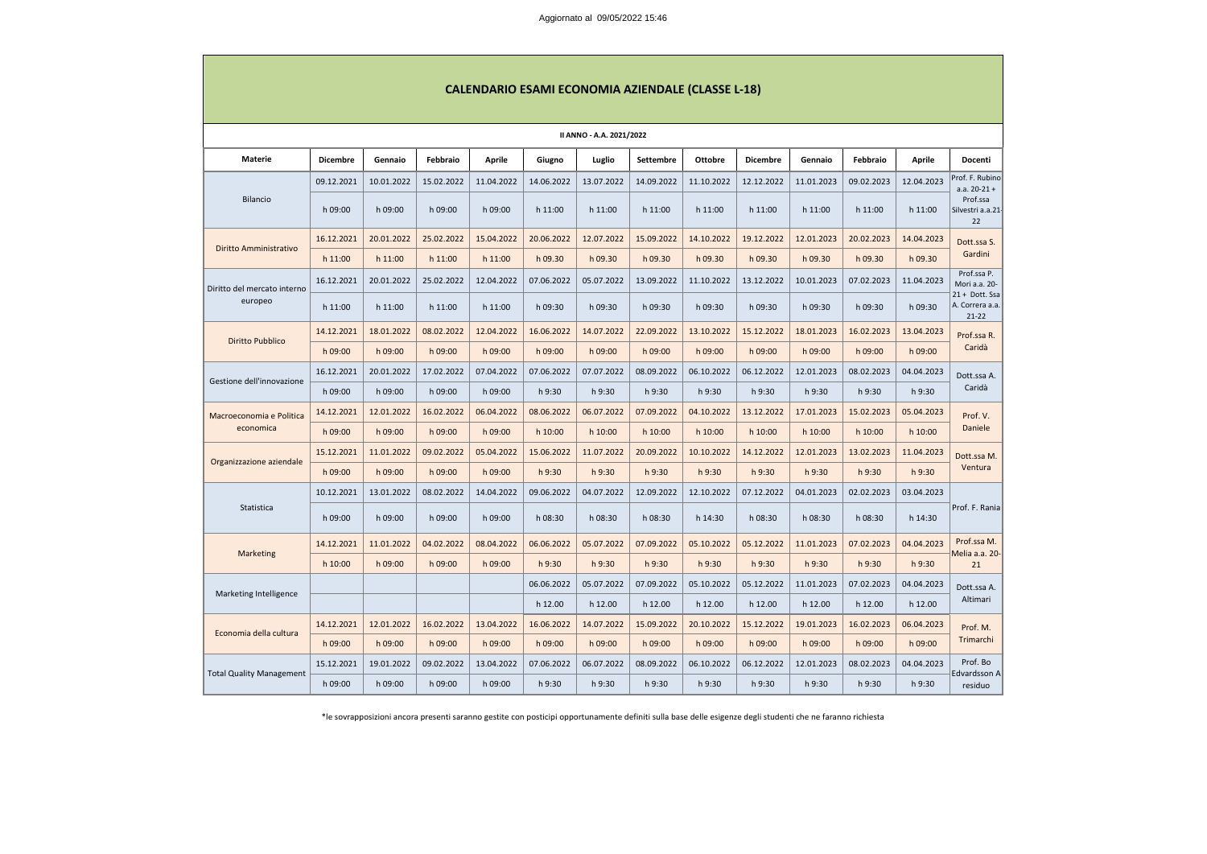|                                 |                 |            |            |               |            | <b>CALENDARIO ESAMI ECONOMIA AZIENDALE (CLASSE L-18)</b> |            |                |                 |            |            |               |                                                |
|---------------------------------|-----------------|------------|------------|---------------|------------|----------------------------------------------------------|------------|----------------|-----------------|------------|------------|---------------|------------------------------------------------|
| II ANNO - A.A. 2021/2022        |                 |            |            |               |            |                                                          |            |                |                 |            |            |               |                                                |
| Materie                         | <b>Dicembre</b> | Gennaio    | Febbraio   | <b>Aprile</b> | Giugno     | Luglio                                                   | Settembre  | <b>Ottobre</b> | <b>Dicembre</b> | Gennaio    | Febbraio   | <b>Aprile</b> | Docenti                                        |
| <b>Bilancio</b>                 | 09.12.2021      | 10.01.2022 | 15.02.2022 | 11.04.2022    | 14.06.2022 | 13.07.2022                                               | 14.09.2022 | 11.10.2022     | 12.12.2022      | 11.01.2023 | 09.02.2023 | 12.04.2023    | Prof. F. Rubino<br>$a.a. 20-21 +$              |
|                                 | h 09:00         | h 09:00    | h 09:00    | h 09:00       | h 11:00    | h 11:00                                                  | h 11:00    | h 11:00        | h 11:00         | h 11:00    | h 11:00    | h 11:00       | Prof.ssa<br>Silvestri a.a.21-<br>22            |
| Diritto Amministrativo          | 16.12.2021      | 20.01.2022 | 25.02.2022 | 15.04.2022    | 20.06.2022 | 12.07.2022                                               | 15.09.2022 | 14.10.2022     | 19.12.2022      | 12.01.2023 | 20.02.2023 | 14.04.2023    | Dott.ssa S.                                    |
|                                 | h 11:00         | h 11:00    | h 11:00    | h 11:00       | h 09.30    | h 09.30                                                  | h 09.30    | h 09.30        | h 09.30         | h 09.30    | h 09.30    | h 09.30       | Gardini                                        |
| Diritto del mercato interno     | 16.12.2021      | 20.01.2022 | 25.02.2022 | 12.04.2022    | 07.06.2022 | 05.07.2022                                               | 13.09.2022 | 11.10.2022     | 13.12.2022      | 10.01.2023 | 07.02.2023 | 11.04.2023    | Prof.ssa P.<br>Mori a.a. 20-                   |
| europeo                         | h 11:00         | h 11:00    | h 11:00    | h 11:00       | h 09:30    | h 09:30                                                  | h 09:30    | h 09:30        | h 09:30         | h 09:30    | h 09:30    | h 09:30       | 21 + Dott. Ssa<br>A. Correra a.a.<br>$21 - 22$ |
| <b>Diritto Pubblico</b>         | 14.12.2021      | 18.01.2022 | 08.02.2022 | 12.04.2022    | 16.06.2022 | 14.07.2022                                               | 22.09.2022 | 13.10.2022     | 15.12.2022      | 18.01.2023 | 16.02.2023 | 13.04.2023    | Prof.ssa R.<br>Caridà                          |
|                                 | $h$ 09:00       | h 09:00    | h 09:00    | h 09:00       | h 09:00    | h 09:00                                                  | h 09:00    | h 09:00        | h 09:00         | h 09:00    | h 09:00    | h 09:00       |                                                |
| Gestione dell'innovazione       | 16.12.2021      | 20.01.2022 | 17.02.2022 | 07.04.2022    | 07.06.2022 | 07.07.2022                                               | 08.09.2022 | 06.10.2022     | 06.12.2022      | 12.01.2023 | 08.02.2023 | 04.04.2023    | Dott.ssa A.<br>Caridà                          |
|                                 | h 09:00         | h 09:00    | h 09:00    | h 09:00       | h 9:30     | h 9:30                                                   | h 9:30     | h 9:30         | h 9:30          | h 9:30     | h 9:30     | h 9:30        |                                                |
| Macroeconomia e Politica        | 14.12.2021      | 12.01.2022 | 16.02.2022 | 06.04.2022    | 08.06.2022 | 06.07.2022                                               | 07.09.2022 | 04.10.2022     | 13.12.2022      | 17.01.2023 | 15.02.2023 | 05.04.2023    | Prof. V.<br>Daniele                            |
| economica                       | h 09:00         | h 09:00    | h 09:00    | h 09:00       | h 10:00    | h 10:00                                                  | h 10:00    | h 10:00        | h 10:00         | h 10:00    | h 10:00    | h 10:00       |                                                |
| Organizzazione aziendale        | 15.12.2021      | 11.01.2022 | 09.02.2022 | 05.04.2022    | 15.06.2022 | 11.07.2022                                               | 20.09.2022 | 10.10.2022     | 14.12.2022      | 12.01.2023 | 13.02.2023 | 11.04.2023    | Dott.ssa M.<br>Ventura                         |
|                                 | h 09:00         | h 09:00    | h 09:00    | h 09:00       | h9:30      | h9:30                                                    | h9:30      | h9:30          | h 9:30          | h 9:30     | h 9:30     | h9:30         |                                                |
|                                 | 10.12.2021      | 13.01.2022 | 08.02.2022 | 14.04.2022    | 09.06.2022 | 04.07.2022                                               | 12.09.2022 | 12.10.2022     | 07.12.2022      | 04.01.2023 | 02.02.2023 | 03.04.2023    |                                                |
| Statistica                      | h 09:00         | h 09:00    | h 09:00    | h 09:00       | h 08:30    | h 08:30                                                  | h 08:30    | h 14:30        | h 08:30         | h 08:30    | h 08:30    | h 14:30       | Prof. F. Rania                                 |
| <b>Marketing</b>                | 14.12.2021      | 11.01.2022 | 04.02.2022 | 08.04.2022    | 06.06.2022 | 05.07.2022                                               | 07.09.2022 | 05.10.2022     | 05.12.2022      | 11.01.2023 | 07.02.2023 | 04.04.2023    | Prof.ssa M.<br>Melia a.a. 20-                  |
|                                 | h 10:00         | h 09:00    | h 09:00    | h 09:00       | h 9:30     | h 9:30                                                   | h 9:30     | h 9:30         | h 9:30          | h 9:30     | h 9:30     | h 9:30        | 21                                             |
| Marketing Intelligence          |                 |            |            |               | 06.06.2022 | 05.07.2022                                               | 07.09.2022 | 05.10.2022     | 05.12.2022      | 11.01.2023 | 07.02.2023 | 04.04.2023    | Dott.ssa A.                                    |
|                                 |                 |            |            |               | h 12.00    | h 12.00                                                  | h 12.00    | h 12.00        | h 12.00         | h 12.00    | h 12.00    | h 12.00       | Altimari                                       |
|                                 | 14.12.2021      | 12.01.2022 | 16.02.2022 | 13.04.2022    | 16.06.2022 | 14.07.2022                                               | 15.09.2022 | 20.10.2022     | 15.12.2022      | 19.01.2023 | 16.02.2023 | 06.04.2023    | Prof. M.<br>Trimarchi                          |
| Economia della cultura          | h 09:00         | h 09:00    | h 09:00    | h 09:00       | h 09:00    | h 09:00                                                  | h 09:00    | h 09:00        | h 09:00         | h 09:00    | h 09:00    | h 09:00       |                                                |
|                                 | 15.12.2021      | 19.01.2022 | 09.02.2022 | 13.04.2022    | 07.06.2022 | 06.07.2022                                               | 08.09.2022 | 06.10.2022     | 06.12.2022      | 12.01.2023 | 08.02.2023 | 04.04.2023    | Prof. Bo<br>Edvardsson A                       |
| <b>Total Quality Management</b> | h 09:00         | h 09:00    | h 09:00    | h 09:00       | h 9:30     | h 9:30                                                   | h 9:30     | h 9:30         | h 9:30          | h 9:30     | h 9:30     | h 9:30        | residuo                                        |

\*le sovrapposizioni ancora presenti saranno gestite con posticipi opportunamente definiti sulla base delle esigenze degli studenti che ne faranno richiesta